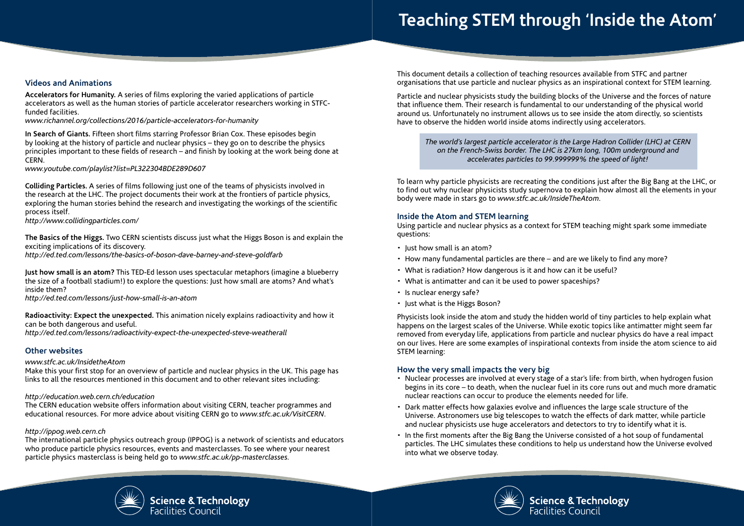# **Teaching STEM through 'Inside the Atom'**

## **Videos and Animations**

**Accelerators for Humanity.** A series of films exploring the varied applications of particle accelerators as well as the human stories of particle accelerator researchers working in STFCfunded facilities.

*www.richannel.org/collections/2016/particle-accelerators-for-humanity*

**In Search of Giants.** Fifteen short films starring Professor Brian Cox. These episodes begin by looking at the history of particle and nuclear physics – they go on to describe the physics principles important to these fields of research – and finish by looking at the work being done at CERN.

*www.youtube.com/playlist?list=PL322304BDE289D607*

**Colliding Particles.** A series of films following just one of the teams of physicists involved in the research at the LHC. The project documents their work at the frontiers of particle physics, exploring the human stories behind the research and investigating the workings of the scientific process itself.

*http://www.collidingparticles.com/*

**The Basics of the Higgs.** Two CERN scientists discuss just what the Higgs Boson is and explain the exciting implications of its discovery.

*http://ed.ted.com/lessons/the-basics-of-boson-dave-barney-and-steve-goldfarb*

**Just how small is an atom?** This TED-Ed lesson uses spectacular metaphors (imagine a blueberry the size of a football stadium!) to explore the questions: Just how small are atoms? And what's inside them?

*http://ed.ted.com/lessons/just-how-small-is-an-atom*

**Radioactivity: Expect the unexpected.** This animation nicely explains radioactivity and how it can be both dangerous and useful.

*http://ed.ted.com/lessons/radioactivity-expect-the-unexpected-steve-weatherall*

## **Other websites**

#### *www.stfc.ac.uk/InsidetheAtom*

Make this your first stop for an overview of particle and nuclear physics in the UK. This page has links to all the resources mentioned in this document and to other relevant sites including:

#### *http://education.web.cern.ch/education*

The CERN education website offers information about visiting CERN, teacher programmes and educational resources. For more advice about visiting CERN go to *www.stfc.ac.uk/VisitCERN*.

#### *http://ippog.web.cern.ch*

The international particle physics outreach group (IPPOG) is a network of scientists and educators who produce particle physics resources, events and masterclasses. To see where your nearest particle physics masterclass is being held go to *www.stfc.ac.uk/pp-masterclasses.*

This document details a collection of teaching resources available from STFC and partner organisations that use particle and nuclear physics as an inspirational context for STEM learning.

Particle and nuclear physicists study the building blocks of the Universe and the forces of nature that influence them. Their research is fundamental to our understanding of the physical world around us. Unfortunately no instrument allows us to see inside the atom directly, so scientists have to observe the hidden world inside atoms indirectly using accelerators.

*The world's largest particle accelerator is the Large Hadron Collider (LHC) at CERN on the French-Swiss border. The LHC is 27km long, 100m underground and accelerates particles to 99.999999% the speed of light!*

To learn why particle physicists are recreating the conditions just after the Big Bang at the LHC, or to find out why nuclear physicists study supernova to explain how almost all the elements in your body were made in stars go to *www.stfc.ac.uk/InsideTheAtom*.

#### **Inside the Atom and STEM learning**

Using particle and nuclear physics as a context for STEM teaching might spark some immediate questions:

- Just how small is an atom?
- How many fundamental particles are there and are we likely to find any more?
- What is radiation? How dangerous is it and how can it be useful?
- What is antimatter and can it be used to power spaceships?
- Is nuclear energy safe?
- Just what is the Higgs Boson?

Physicists look inside the atom and study the hidden world of tiny particles to help explain what happens on the largest scales of the Universe. While exotic topics like antimatter might seem far removed from everyday life, applications from particle and nuclear physics do have a real impact on our lives. Here are some examples of inspirational contexts from inside the atom science to aid STEM learning:

## **How the very small impacts the very big**

- Nuclear processes are involved at every stage of a star's life: from birth, when hydrogen fusion begins in its core – to death, when the nuclear fuel in its core runs out and much more dramatic nuclear reactions can occur to produce the elements needed for life.
- Dark matter effects how galaxies evolve and influences the large scale structure of the Universe. Astronomers use big telescopes to watch the effects of dark matter, while particle and nuclear physicists use huge accelerators and detectors to try to identify what it is.
- In the first moments after the Big Bang the Universe consisted of a hot soup of fundamental particles. The LHC simulates these conditions to help us understand how the Universe evolved into what we observe today.